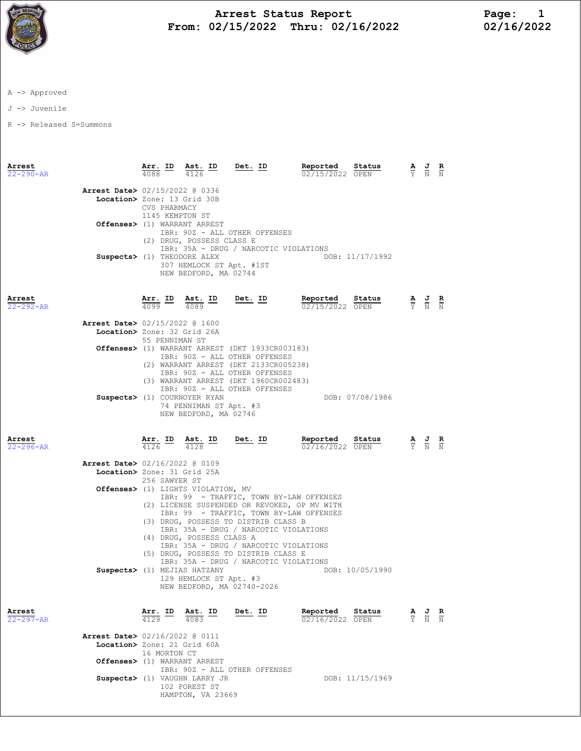

## Arrest Status Report<br>12/15/2022 Thru: 02/16/2022 12/16/2022 From: 02/15/2022 Thru: 02/16/2022

A -> Approved

J -> Juvenile

R -> Released S=Summons

| Arrest<br>$22 - 290 - AR$ | $\frac{\texttt{Arr.}}{4088}$ ID | Ast. ID<br>4126                                                                            | $Det. ID$                                                                                                                                                                                           | Reported<br>Status<br>02/15/2022 OPEN                                                   | $\frac{A}{Y}$                   |                                                                                                 | $\frac{R}{N}$ |
|---------------------------|---------------------------------|--------------------------------------------------------------------------------------------|-----------------------------------------------------------------------------------------------------------------------------------------------------------------------------------------------------|-----------------------------------------------------------------------------------------|---------------------------------|-------------------------------------------------------------------------------------------------|---------------|
|                           | CVS PHARMACY                    | <b>Arrest Date&gt; 02/15/2022 @ 0336</b><br>Location> Zone: 13 Grid 30B<br>1145 KEMPTON ST |                                                                                                                                                                                                     |                                                                                         |                                 |                                                                                                 |               |
|                           |                                 | Offenses> (1) WARRANT ARREST<br>(2) DRUG, POSSESS CLASS E<br>Suspects> (1) THEODORE ALEX   | IBR: 90Z - ALL OTHER OFFENSES<br>IBR: 35A - DRUG / NARCOTIC VIOLATIONS                                                                                                                              | DOB: 11/17/1992                                                                         |                                 |                                                                                                 |               |
|                           |                                 | 307 HEMLOCK ST Apt. #1ST<br>NEW BEDFORD, MA 02744                                          |                                                                                                                                                                                                     |                                                                                         |                                 |                                                                                                 |               |
| Arrest<br>$22 - 292 - AR$ | $4099$ $-$                      | Arr. ID Ast. ID<br>4089                                                                    | $Det. ID$                                                                                                                                                                                           | Reported Status<br>02/15/2022 OPEN                                                      |                                 | $\frac{\mathbf{A}}{\mathbf{Y}}$ $\frac{\mathbf{J}}{\mathbf{N}}$ $\frac{\mathbf{R}}{\mathbf{N}}$ |               |
|                           |                                 | Arrest Date> 02/15/2022 @ 1600<br>Location> Zone: 32 Grid 26A<br>55 PENNIMAN ST            |                                                                                                                                                                                                     |                                                                                         |                                 |                                                                                                 |               |
|                           |                                 |                                                                                            | Offenses> (1) WARRANT ARREST (DKT 1933CR003183)<br>IBR: 90Z - ALL OTHER OFFENSES<br>(2) WARRANT ARREST (DKT 2133CR005238)<br>IBR: 90Z - ALL OTHER OFFENSES<br>(3) WARRANT ARREST (DKT 1960CR002483) |                                                                                         |                                 |                                                                                                 |               |
|                           |                                 | <b>Suspects&gt;</b> (1) COURNOYER RYAN<br>74 PENNIMAN ST Apt. #3<br>NEW BEDFORD, MA 02746  | IBR: 90Z - ALL OTHER OFFENSES                                                                                                                                                                       | DOB: 07/08/1986                                                                         |                                 |                                                                                                 |               |
| Arrest<br>22-296-AR       |                                 | $\frac{\texttt{Arr.}}{4126}$ ID Ast. ID                                                    | <u>Det. ID</u>                                                                                                                                                                                      | Reported<br>Status<br>02/16/2022 OPEN                                                   | $\frac{\mathbf{A}}{\mathbf{Y}}$ | $\frac{J}{N}$ $\frac{R}{N}$                                                                     |               |
|                           |                                 | Arrest Date> 02/16/2022 @ 0109                                                             |                                                                                                                                                                                                     |                                                                                         |                                 |                                                                                                 |               |
|                           |                                 | Location> Zone: 31 Grid 25A<br>256 SAWYER ST                                               |                                                                                                                                                                                                     |                                                                                         |                                 |                                                                                                 |               |
|                           |                                 | Offenses> (1) LIGHTS VIOLATION, MV                                                         |                                                                                                                                                                                                     | IBR: 99 - TRAFFIC, TOWN BY-LAW OFFENSES<br>(2) LICENSE SUSPENDED OR REVOKED, OP MV WITH |                                 |                                                                                                 |               |
|                           |                                 | (4) DRUG, POSSESS CLASS A                                                                  | (3) DRUG, POSSESS TO DISTRIB CLASS B<br>IBR: 35A - DRUG / NARCOTIC VIOLATIONS                                                                                                                       | IBR: 99 - TRAFFIC, TOWN BY-LAW OFFENSES                                                 |                                 |                                                                                                 |               |
|                           |                                 |                                                                                            | IBR: 35A - DRUG / NARCOTIC VIOLATIONS<br>(5) DRUG, POSSESS TO DISTRIB CLASS E<br>IBR: 35A - DRUG / NARCOTIC VIOLATIONS                                                                              |                                                                                         |                                 |                                                                                                 |               |
|                           |                                 | Suspects> (1) MEJIAS HATZANY<br>129 HEMLOCK ST Apt. #3<br>NEW BEDFORD, MA 02740-2026       |                                                                                                                                                                                                     | DOB: 10/05/1990                                                                         |                                 |                                                                                                 |               |
| Arrest<br>$22 - 297 - AR$ | 4129                            | Arr. ID Ast. ID<br>4083                                                                    | Det. ID                                                                                                                                                                                             | Reported<br>Status<br>02/16/2022 OPEN                                                   |                                 | $\frac{\mathbf{A}}{\mathbf{Y}}$ $\frac{\mathbf{J}}{\mathbf{N}}$ $\frac{\mathbf{R}}{\mathbf{N}}$ |               |
|                           | 16 MORTON CT                    | Arrest Date> 02/16/2022 @ 0111<br>Location> Zone: 21 Grid 60A                              |                                                                                                                                                                                                     |                                                                                         |                                 |                                                                                                 |               |
|                           |                                 | Offenses> (1) WARRANT ARREST                                                               | IBR: 90Z - ALL OTHER OFFENSES                                                                                                                                                                       |                                                                                         |                                 |                                                                                                 |               |
|                           |                                 | Suspects> (1) VAUGHN LARRY JR<br>102 FOREST ST                                             |                                                                                                                                                                                                     | DOB: 11/15/1969                                                                         |                                 |                                                                                                 |               |

HAMPTON, VA 23669